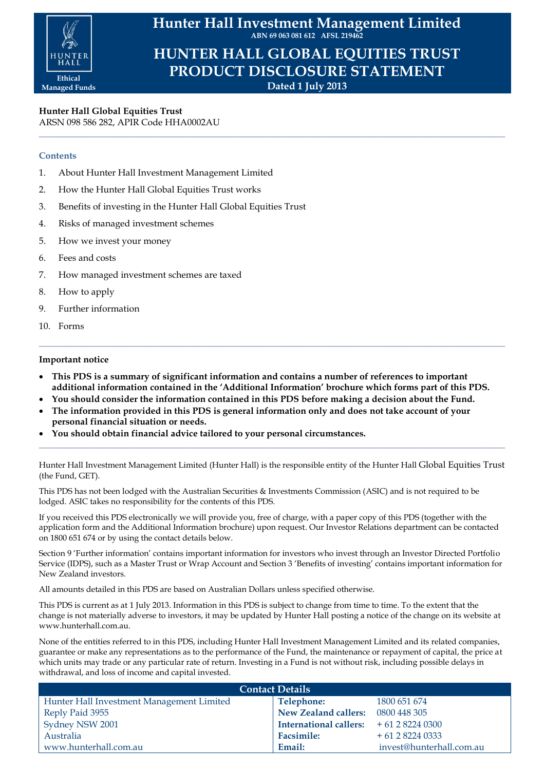

**Hunter Hall Investment Management Limited ABN 69 063 081 612 AFSL 219462**

**HUNTER HALL GLOBAL EQUITIES TRUST PRODUCT DISCLOSURE STATEMENT Dated 1 July 2013**

**\_\_\_\_\_\_\_\_\_\_\_\_\_\_\_\_\_\_\_\_\_\_\_\_\_\_\_\_\_\_\_\_\_\_\_\_\_\_\_\_\_\_\_\_\_\_\_\_\_\_\_\_\_\_\_\_\_\_\_\_\_\_\_\_\_\_\_\_\_\_\_\_\_\_\_\_\_\_\_\_\_\_\_\_\_\_\_\_\_\_\_\_\_\_\_\_\_\_\_\_\_\_**

**Hunter Hall Global Equities Trust** ARSN 098 586 282, APIR Code HHA0002AU

## **Contents**

- 1. About Hunter Hall Investment Management Limited
- 2. How the Hunter Hall Global Equities Trust works
- 3. Benefits of investing in the Hunter Hall Global Equities Trust
- 4. Risks of managed investment schemes
- 5. How we invest your money
- 6. Fees and costs
- 7. How managed investment schemes are taxed
- 8. How to apply
- 9. Further information
- 10. Forms

# **Important notice**

 **This PDS is a summary of significant information and contains a number of references to important additional information contained in the 'Additional Information' brochure which forms part of this PDS.**

**\_\_\_\_\_\_\_\_\_\_\_\_\_\_\_\_\_\_\_\_\_\_\_\_\_\_\_\_\_\_\_\_\_\_\_\_\_\_\_\_\_\_\_\_\_\_\_\_\_\_\_\_\_\_\_\_\_\_\_\_\_\_\_\_\_\_\_\_\_\_\_\_\_\_\_\_\_\_\_\_\_\_\_\_\_\_\_\_\_\_\_\_\_\_\_\_\_\_\_\_\_\_**

- **You should consider the information contained in this PDS before making a decision about the Fund.**
- **The information provided in this PDS is general information only and does not take account of your personal financial situation or needs.**
- **You should obtain financial advice tailored to your personal circumstances.**

Hunter Hall Investment Management Limited (Hunter Hall) is the responsible entity of the Hunter Hall Global Equities Trust (the Fund, GET).

**\_\_\_\_\_\_\_\_\_\_\_\_\_\_\_\_\_\_\_\_\_\_\_\_\_\_\_\_\_\_\_\_\_\_\_\_\_\_\_\_\_\_\_\_\_\_\_\_\_\_\_\_\_\_\_\_\_\_\_\_\_\_\_\_\_\_\_\_\_\_\_\_\_\_\_\_\_\_\_\_\_\_\_\_\_\_\_\_\_\_\_\_\_\_\_\_\_\_\_\_\_\_**

This PDS has not been lodged with the Australian Securities & Investments Commission (ASIC) and is not required to be lodged. ASIC takes no responsibility for the contents of this PDS.

If you received this PDS electronically we will provide you, free of charge, with a paper copy of this PDS (together with the application form and the Additional Information brochure) upon request. Our Investor Relations department can be contacted on 1800 651 674 or by using the contact details below.

Section 9 'Further information' contains important information for investors who invest through an Investor Directed Portfolio Service (IDPS), such as a Master Trust or Wrap Account and Section 3 'Benefits of investing' contains important information for New Zealand investors.

All amounts detailed in this PDS are based on Australian Dollars unless specified otherwise.

This PDS is current as at 1 July 2013. Information in this PDS is subject to change from time to time. To the extent that the change is not materially adverse to investors, it may be updated by Hunter Hall posting a notice of the change on its website at www.hunterhall.com.au.

None of the entities referred to in this PDS, including Hunter Hall Investment Management Limited and its related companies, guarantee or make any representations as to the performance of the Fund, the maintenance or repayment of capital, the price at which units may trade or any particular rate of return. Investing in a Fund is not without risk, including possible delays in withdrawal, and loss of income and capital invested.

| <b>Contact Details</b>                    |                               |                          |  |  |
|-------------------------------------------|-------------------------------|--------------------------|--|--|
| Hunter Hall Investment Management Limited | Telephone:                    | 1800 651 674             |  |  |
| Reply Paid 3955                           | New Zealand callers:          | 0800 448 305             |  |  |
| Sydney NSW 2001                           | <b>International callers:</b> | $+61282240300$           |  |  |
| Australia                                 | <b>Facsimile:</b>             | $+61282240333$           |  |  |
| www.hunterhall.com.au                     | Email:                        | invest@hunterhall.com.au |  |  |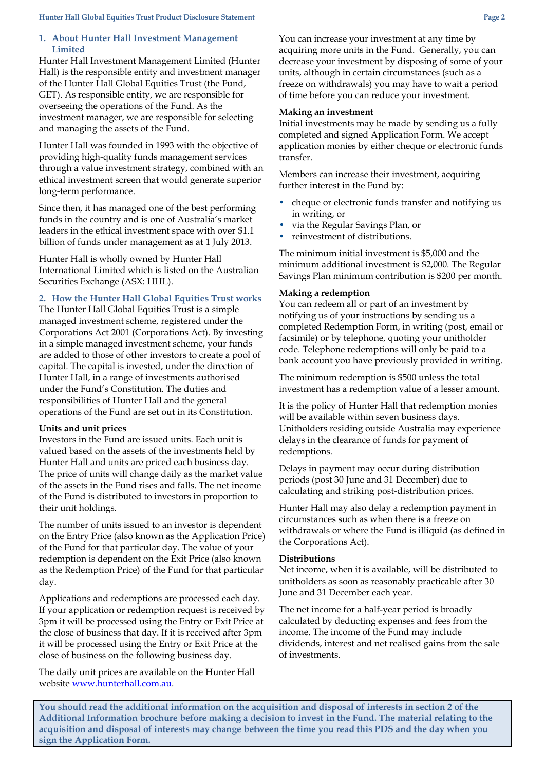### **1. About Hunter Hall Investment Management Limited**

Hunter Hall Investment Management Limited (Hunter Hall) is the responsible entity and investment manager of the Hunter Hall Global Equities Trust (the Fund, GET). As responsible entity, we are responsible for overseeing the operations of the Fund. As the investment manager, we are responsible for selecting and managing the assets of the Fund.

Hunter Hall was founded in 1993 with the objective of providing high-quality funds management services through a value investment strategy, combined with an ethical investment screen that would generate superior long-term performance.

Since then, it has managed one of the best performing funds in the country and is one of Australia's market leaders in the ethical investment space with over \$1.1 billion of funds under management as at 1 July 2013.

Hunter Hall is wholly owned by Hunter Hall International Limited which is listed on the Australian Securities Exchange (ASX: HHL).

# **2. How the Hunter Hall Global Equities Trust works**

The Hunter Hall Global Equities Trust is a simple managed investment scheme, registered under the Corporations Act 2001 (Corporations Act). By investing in a simple managed investment scheme, your funds are added to those of other investors to create a pool of capital. The capital is invested, under the direction of Hunter Hall, in a range of investments authorised under the Fund's Constitution. The duties and responsibilities of Hunter Hall and the general operations of the Fund are set out in its Constitution.

### **Units and unit prices**

Investors in the Fund are issued units. Each unit is valued based on the assets of the investments held by Hunter Hall and units are priced each business day. The price of units will change daily as the market value of the assets in the Fund rises and falls. The net income of the Fund is distributed to investors in proportion to their unit holdings.

The number of units issued to an investor is dependent on the Entry Price (also known as the Application Price) of the Fund for that particular day. The value of your redemption is dependent on the Exit Price (also known as the Redemption Price) of the Fund for that particular day.

Applications and redemptions are processed each day. If your application or redemption request is received by 3pm it will be processed using the Entry or Exit Price at the close of business that day. If it is received after 3pm it will be processed using the Entry or Exit Price at the close of business on the following business day.

The daily unit prices are available on the Hunter Hall website [www.hunterhall.com.au.](http://www.hunterhall.com.au/)

You can increase your investment at any time by acquiring more units in the Fund. Generally, you can decrease your investment by disposing of some of your units, although in certain circumstances (such as a freeze on withdrawals) you may have to wait a period of time before you can reduce your investment.

## **Making an investment**

Initial investments may be made by sending us a fully completed and signed Application Form. We accept application monies by either cheque or electronic funds transfer.

Members can increase their investment, acquiring further interest in the Fund by:

- cheque or electronic funds transfer and notifying us in writing, or
- via the Regular Savings Plan, or
- reinvestment of distributions.

The minimum initial investment is \$5,000 and the minimum additional investment is \$2,000. The Regular Savings Plan minimum contribution is \$200 per month.

# **Making a redemption**

You can redeem all or part of an investment by notifying us of your instructions by sending us a completed Redemption Form, in writing (post, email or facsimile) or by telephone, quoting your unitholder code. Telephone redemptions will only be paid to a bank account you have previously provided in writing.

The minimum redemption is \$500 unless the total investment has a redemption value of a lesser amount.

It is the policy of Hunter Hall that redemption monies will be available within seven business days. Unitholders residing outside Australia may experience delays in the clearance of funds for payment of redemptions.

Delays in payment may occur during distribution periods (post 30 June and 31 December) due to calculating and striking post-distribution prices.

Hunter Hall may also delay a redemption payment in circumstances such as when there is a freeze on withdrawals or where the Fund is illiquid (as defined in the Corporations Act).

### **Distributions**

Net income, when it is available, will be distributed to unitholders as soon as reasonably practicable after 30 June and 31 December each year.

The net income for a half-year period is broadly calculated by deducting expenses and fees from the income. The income of the Fund may include dividends, interest and net realised gains from the sale of investments.

**You should read the additional information on the acquisition and disposal of interests in section 2 of the Additional Information brochure before making a decision to invest in the Fund. The material relating to the acquisition and disposal of interests may change between the time you read this PDS and the day when you sign the Application Form.**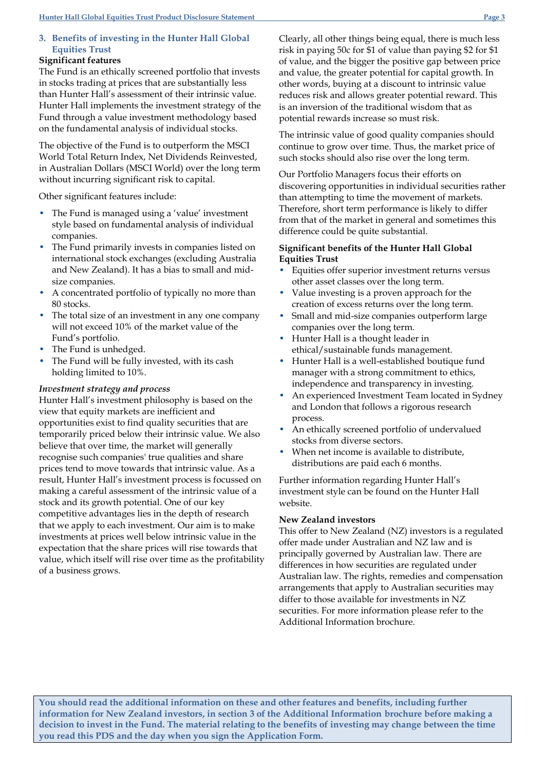# **3. Benefits of investing in the Hunter Hall Global Equities Trust**

# **Significant features**

The Fund is an ethically screened portfolio that invests in stocks trading at prices that are substantially less than Hunter Hall's assessment of their intrinsic value. Hunter Hall implements the investment strategy of the Fund through a value investment methodology based on the fundamental analysis of individual stocks.

The objective of the Fund is to outperform the MSCI World Total Return Index, Net Dividends Reinvested, in Australian Dollars (MSCI World) over the long term without incurring significant risk to capital.

Other significant features include:

- The Fund is managed using a 'value' investment style based on fundamental analysis of individual companies.
- The Fund primarily invests in companies listed on international stock exchanges (excluding Australia and New Zealand). It has a bias to small and midsize companies.
- A concentrated portfolio of typically no more than 80 stocks.
- The total size of an investment in any one company will not exceed 10% of the market value of the Fund's portfolio.
- The Fund is unhedged.
- The Fund will be fully invested, with its cash holding limited to 10%.

# *Investment strategy and process*

Hunter Hall's investment philosophy is based on the view that equity markets are inefficient and opportunities exist to find quality securities that are temporarily priced below their intrinsic value. We also believe that over time, the market will generally recognise such companies' true qualities and share prices tend to move towards that intrinsic value. As a result, Hunter Hall's investment process is focussed on making a careful assessment of the intrinsic value of a stock and its growth potential. One of our key competitive advantages lies in the depth of research that we apply to each investment. Our aim is to make investments at prices well below intrinsic value in the expectation that the share prices will rise towards that value, which itself will rise over time as the profitability of a business grows.

Clearly, all other things being equal, there is much less risk in paying 50c for \$1 of value than paying \$2 for \$1 of value, and the bigger the positive gap between price and value, the greater potential for capital growth. In other words, buying at a discount to intrinsic value reduces risk and allows greater potential reward. This is an inversion of the traditional wisdom that as potential rewards increase so must risk.

The intrinsic value of good quality companies should continue to grow over time. Thus, the market price of such stocks should also rise over the long term.

Our Portfolio Managers focus their efforts on discovering opportunities in individual securities rather than attempting to time the movement of markets. Therefore, short term performance is likely to differ from that of the market in general and sometimes this difference could be quite substantial.

# **Significant benefits of the Hunter Hall Global Equities Trust**

- Equities offer superior investment returns versus other asset classes over the long term.
- Value investing is a proven approach for the creation of excess returns over the long term.
- Small and mid-size companies outperform large companies over the long term.
- Hunter Hall is a thought leader in ethical/sustainable funds management.
- Hunter Hall is a well-established boutique fund manager with a strong commitment to ethics, independence and transparency in investing.
- An experienced Investment Team located in Sydney and London that follows a rigorous research process.
- An ethically screened portfolio of undervalued stocks from diverse sectors.
- When net income is available to distribute, distributions are paid each 6 months.

Further information regarding Hunter Hall's investment style can be found on the Hunter Hall website.

## **New Zealand investors**

This offer to New Zealand (NZ) investors is a regulated offer made under Australian and NZ law and is principally governed by Australian law. There are differences in how securities are regulated under Australian law. The rights, remedies and compensation arrangements that apply to Australian securities may differ to those available for investments in NZ securities. For more information please refer to the Additional Information brochure.

**You should read the additional information on these and other features and benefits, including further information for New Zealand investors, in section 3 of the Additional Information brochure before making a decision to invest in the Fund. The material relating to the benefits of investing may change between the time you read this PDS and the day when you sign the Application Form.**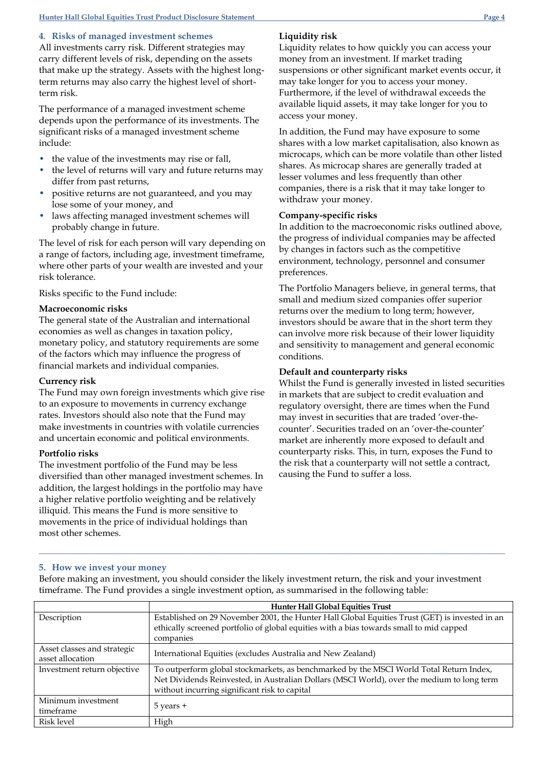#### **4***.* **Risks of managed investment schemes**

All investments carry risk. Different strategies may carry different levels of risk, depending on the assets that make up the strategy. Assets with the highest longterm returns may also carry the highest level of shortterm risk.

The performance of a managed investment scheme depends upon the performance of its investments. The significant risks of a managed investment scheme include:

- the value of the investments may rise or fall,
- the level of returns will vary and future returns may differ from past returns,
- positive returns are not guaranteed, and you may lose some of your money, and
- laws affecting managed investment schemes will probably change in future.

The level of risk for each person will vary depending on a range of factors, including age, investment timeframe, where other parts of your wealth are invested and your risk tolerance.

#### Risks specific to the Fund include:

#### **Macroeconomic risks**

The general state of the Australian and international economies as well as changes in taxation policy, monetary policy, and statutory requirements are some of the factors which may influence the progress of financial markets and individual companies.

#### **Currency risk**

The Fund may own foreign investments which give rise to an exposure to movements in currency exchange rates. Investors should also note that the Fund may make investments in countries with volatile currencies and uncertain economic and political environments.

#### **Portfolio risks**

The investment portfolio of the Fund may be less diversified than other managed investment schemes. In addition, the largest holdings in the portfolio may have a higher relative portfolio weighting and be relatively illiquid. This means the Fund is more sensitive to movements in the price of individual holdings than most other schemes.

# **Liquidity risk**

Liquidity relates to how quickly you can access your money from an investment. If market trading suspensions or other significant market events occur, it may take longer for you to access your money. Furthermore, if the level of withdrawal exceeds the available liquid assets, it may take longer for you to access your money.

In addition, the Fund may have exposure to some shares with a low market capitalisation, also known as microcaps, which can be more volatile than other listed shares. As microcap shares are generally traded at lesser volumes and less frequently than other companies, there is a risk that it may take longer to withdraw your money.

#### **Company-specific risks**

In addition to the macroeconomic risks outlined above, the progress of individual companies may be affected by changes in factors such as the competitive environment, technology, personnel and consumer preferences.

The Portfolio Managers believe, in general terms, that small and medium sized companies offer superior returns over the medium to long term; however, investors should be aware that in the short term they can involve more risk because of their lower liquidity and sensitivity to management and general economic conditions.

#### **Default and counterparty risks**

Whilst the Fund is generally invested in listed securities in markets that are subject to credit evaluation and regulatory oversight, there are times when the Fund may invest in securities that are traded 'over-thecounter'. Securities traded on an 'over-the-counter' market are inherently more exposed to default and counterparty risks. This, in turn, exposes the Fund to the risk that a counterparty will not settle a contract, causing the Fund to suffer a loss.

#### **5. How we invest your money**

Before making an investment, you should consider the likely investment return, the risk and your investment timeframe. The Fund provides a single investment option, as summarised in the following table:

**\_\_\_\_\_\_\_\_\_\_\_\_\_\_\_\_\_\_\_\_\_\_\_\_\_\_\_\_\_\_\_\_\_\_\_\_\_\_\_\_\_\_\_\_\_\_\_\_\_\_\_\_\_\_\_\_\_\_\_\_\_\_\_\_\_\_\_\_\_\_\_\_\_\_\_\_\_\_\_\_\_\_\_\_\_\_\_\_\_\_\_\_\_\_\_\_\_\_\_\_\_\_**

|                             | <b>Hunter Hall Global Equities Trust</b>                                                       |
|-----------------------------|------------------------------------------------------------------------------------------------|
| Description                 | Established on 29 November 2001, the Hunter Hall Global Equities Trust (GET) is invested in an |
|                             | ethically screened portfolio of global equities with a bias towards small to mid capped        |
|                             | companies                                                                                      |
| Asset classes and strategic | International Equities (excludes Australia and New Zealand)                                    |
| asset allocation            |                                                                                                |
| Investment return objective | To outperform global stockmarkets, as benchmarked by the MSCI World Total Return Index,        |
|                             | Net Dividends Reinvested, in Australian Dollars (MSCI World), over the medium to long term     |
|                             | without incurring significant risk to capital                                                  |
| Minimum investment          |                                                                                                |
| timeframe                   | $5$ years $+$                                                                                  |
| Risk level                  | High                                                                                           |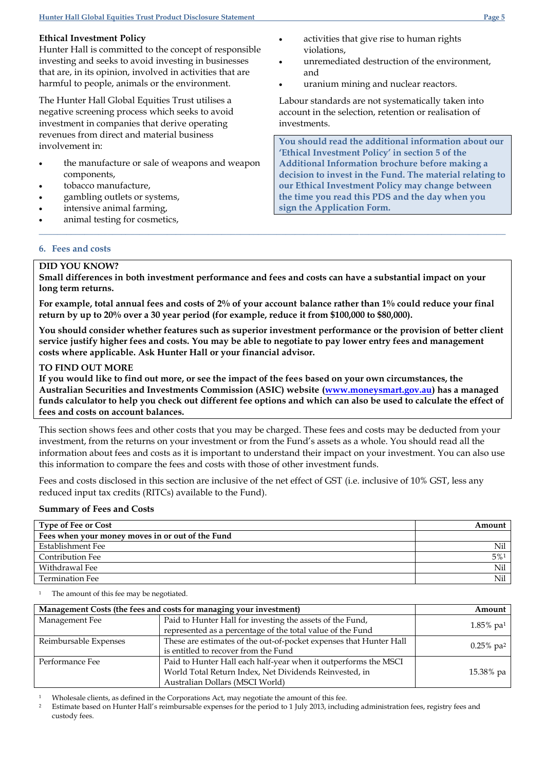## **Ethical Investment Policy**

Hunter Hall is committed to the concept of responsible investing and seeks to avoid investing in businesses that are, in its opinion, involved in activities that are harmful to people, animals or the environment.

The Hunter Hall Global Equities Trust utilises a negative screening process which seeks to avoid investment in companies that derive operating revenues from direct and material business involvement in:

- the manufacture or sale of weapons and weapon components,
- tobacco manufacture,
- gambling outlets or systems,
- intensive animal farming,
- animal testing for cosmetics,
- activities that give rise to human rights violations,
- unremediated destruction of the environment, and
- uranium mining and nuclear reactors.

Labour standards are not systematically taken into account in the selection, retention or realisation of investments.

**You should read the additional information about our 'Ethical Investment Policy' in section 5 of the Additional Information brochure before making a decision to invest in the Fund. The material relating to our Ethical Investment Policy may change between the time you read this PDS and the day when you sign the Application Form.**

### **6. Fees and costs**

# **DID YOU KNOW?**

**Small differences in both investment performance and fees and costs can have a substantial impact on your long term returns.**

**\_\_\_\_\_\_\_\_\_\_\_\_\_\_\_\_\_\_\_\_\_\_\_\_\_\_\_\_\_\_\_\_\_\_\_\_\_\_\_\_\_\_\_\_\_\_\_\_\_\_\_\_\_\_\_\_\_\_\_\_\_\_\_\_\_\_\_\_\_\_\_\_\_\_\_\_\_\_\_\_\_\_\_\_\_\_\_\_\_\_\_\_\_\_\_\_\_\_\_\_\_\_**

**For example, total annual fees and costs of 2% of your account balance rather than 1% could reduce your final return by up to 20% over a 30 year period (for example, reduce it from \$100,000 to \$80,000).**

**You should consider whether features such as superior investment performance or the provision of better client service justify higher fees and costs. You may be able to negotiate to pay lower entry fees and management costs where applicable. Ask Hunter Hall or your financial advisor.**

# **TO FIND OUT MORE**

**If you would like to find out more, or see the impact of the fees based on your own circumstances, the Australian Securities and Investments Commission (ASIC) website [\(www.moneysmart.gov.au\)](http://www.moneysmart.gov.au/) has a managed funds calculator to help you check out different fee options and which can also be used to calculate the effect of fees and costs on account balances.**

This section shows fees and other costs that you may be charged. These fees and costs may be deducted from your investment, from the returns on your investment or from the Fund's assets as a whole. You should read all the information about fees and costs as it is important to understand their impact on your investment. You can also use this information to compare the fees and costs with those of other investment funds.

Fees and costs disclosed in this section are inclusive of the net effect of GST (i.e. inclusive of 10% GST, less any reduced input tax credits (RITCs) available to the Fund).

### **Summary of Fees and Costs**

| <b>Type of Fee or Cost</b>                       | Amount |
|--------------------------------------------------|--------|
| Fees when your money moves in or out of the Fund |        |
| Establishment Fee                                | Nil    |
| Contribution Fee                                 | $5\%1$ |
| Withdrawal Fee                                   | Nil    |
| <b>Termination Fee</b>                           | Nil    |

The amount of this fee may be negotiated.

| Management Costs (the fees and costs for managing your investment) |                                                                                                                                                              | Amount                   |
|--------------------------------------------------------------------|--------------------------------------------------------------------------------------------------------------------------------------------------------------|--------------------------|
| Management Fee                                                     | Paid to Hunter Hall for investing the assets of the Fund,<br>represented as a percentage of the total value of the Fund                                      | $1.85\%$ pa <sup>1</sup> |
| Reimbursable Expenses                                              | These are estimates of the out-of-pocket expenses that Hunter Hall<br>is entitled to recover from the Fund                                                   | $0.25\%$ pa <sup>2</sup> |
| Performance Fee                                                    | Paid to Hunter Hall each half-year when it outperforms the MSCI<br>World Total Return Index, Net Dividends Reinvested, in<br>Australian Dollars (MSCI World) | 15.38% pa                |

<sup>1</sup> Wholesale clients, as defined in the Corporations Act, may negotiate the amount of this fee.

<sup>2</sup> Estimate based on Hunter Hall's reimbursable expenses for the period to 1 July 2013, including administration fees, registry fees and custody fees.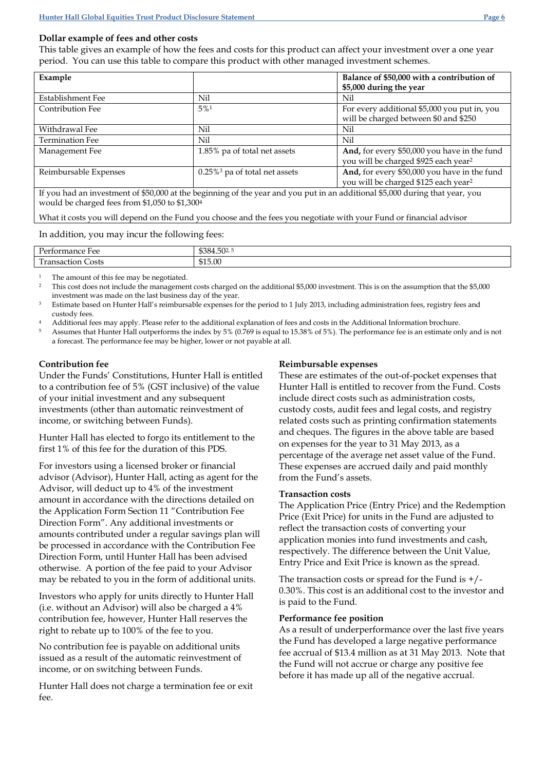## **Dollar example of fees and other costs**

This table gives an example of how the fees and costs for this product can affect your investment over a one year period. You can use this table to compare this product with other managed investment schemes.

| Example                                                                                                                      |                                              | Balance of \$50,000 with a contribution of       |
|------------------------------------------------------------------------------------------------------------------------------|----------------------------------------------|--------------------------------------------------|
|                                                                                                                              |                                              | \$5,000 during the year                          |
| Establishment Fee                                                                                                            | Nil                                          | Nil                                              |
| <b>Contribution Fee</b>                                                                                                      | 5%1                                          | For every additional \$5,000 you put in, you     |
|                                                                                                                              |                                              | will be charged between \$0 and \$250            |
| Withdrawal Fee                                                                                                               | Nil                                          | Nil                                              |
| <b>Termination Fee</b>                                                                                                       | Nil                                          | Nil                                              |
| Management Fee                                                                                                               | 1.85% pa of total net assets                 | And, for every \$50,000 you have in the fund     |
|                                                                                                                              |                                              | you will be charged \$925 each year <sup>2</sup> |
| Reimbursable Expenses                                                                                                        | $0.25\%$ <sup>3</sup> pa of total net assets | And, for every \$50,000 you have in the fund     |
|                                                                                                                              |                                              | you will be charged \$125 each year <sup>2</sup> |
| If you had an investment of \$50,000 at the beginning of the year and you put in an additional \$5,000 during that year, you |                                              |                                                  |
| would be charged fees from \$1,050 to \$1,3004                                                                               |                                              |                                                  |

What it costs you will depend on the Fund you choose and the fees you negotiate with your Fund or financial advisor

In addition, you may incur the following fees:

| $\mathbf{r}$<br>ื้≏″<br>$   -$<br>-ее<br>на<br>. | $\Gamma$<br>ሐሳ 0<br>5UA |
|--------------------------------------------------|-------------------------|
| <b>CON</b><br>osts<br>--<br>าเภ                  | \$15.00                 |

<sup>1</sup> The amount of this fee may be negotiated.

<sup>2</sup> This cost does not include the management costs charged on the additional \$5,000 investment. This is on the assumption that the \$5,000 investment was made on the last business day of the year.

<sup>3</sup> Estimate based on Hunter Hall's reimbursable expenses for the period to 1 July 2013, including administration fees, registry fees and custody fees.

<sup>4</sup> Additional fees may apply. Please refer to the additional explanation of fees and costs in the Additional Information brochure.

<sup>5</sup> Assumes that Hunter Hall outperforms the index by 5% (0.769 is equal to 15.38% of 5%). The performance fee is an estimate only and is not a forecast. The performance fee may be higher, lower or not payable at all.

### **Contribution fee**

Under the Funds' Constitutions, Hunter Hall is entitled to a contribution fee of 5% (GST inclusive) of the value of your initial investment and any subsequent investments (other than automatic reinvestment of income, or switching between Funds).

Hunter Hall has elected to forgo its entitlement to the first 1% of this fee for the duration of this PDS.

For investors using a licensed broker or financial advisor (Advisor), Hunter Hall, acting as agent for the Advisor, will deduct up to 4% of the investment amount in accordance with the directions detailed on the Application Form Section 11 "Contribution Fee Direction Form". Any additional investments or amounts contributed under a regular savings plan will be processed in accordance with the Contribution Fee Direction Form, until Hunter Hall has been advised otherwise. A portion of the fee paid to your Advisor may be rebated to you in the form of additional units.

Investors who apply for units directly to Hunter Hall (i.e. without an Advisor) will also be charged a 4% contribution fee, however, Hunter Hall reserves the right to rebate up to 100% of the fee to you.

No contribution fee is payable on additional units issued as a result of the automatic reinvestment of income, or on switching between Funds.

Hunter Hall does not charge a termination fee or exit fee.

# **Reimbursable expenses**

These are estimates of the out-of-pocket expenses that Hunter Hall is entitled to recover from the Fund. Costs include direct costs such as administration costs, custody costs, audit fees and legal costs, and registry related costs such as printing confirmation statements and cheques. The figures in the above table are based on expenses for the year to 31 May 2013, as a percentage of the average net asset value of the Fund. These expenses are accrued daily and paid monthly from the Fund's assets.

### **Transaction costs**

The Application Price (Entry Price) and the Redemption Price (Exit Price) for units in the Fund are adjusted to reflect the transaction costs of converting your application monies into fund investments and cash, respectively. The difference between the Unit Value, Entry Price and Exit Price is known as the spread.

The transaction costs or spread for the Fund is  $+/-$ 0.30%. This cost is an additional cost to the investor and is paid to the Fund.

### **Performance fee position**

As a result of underperformance over the last five years the Fund has developed a large negative performance fee accrual of \$13.4 million as at 31 May 2013. Note that the Fund will not accrue or charge any positive fee before it has made up all of the negative accrual.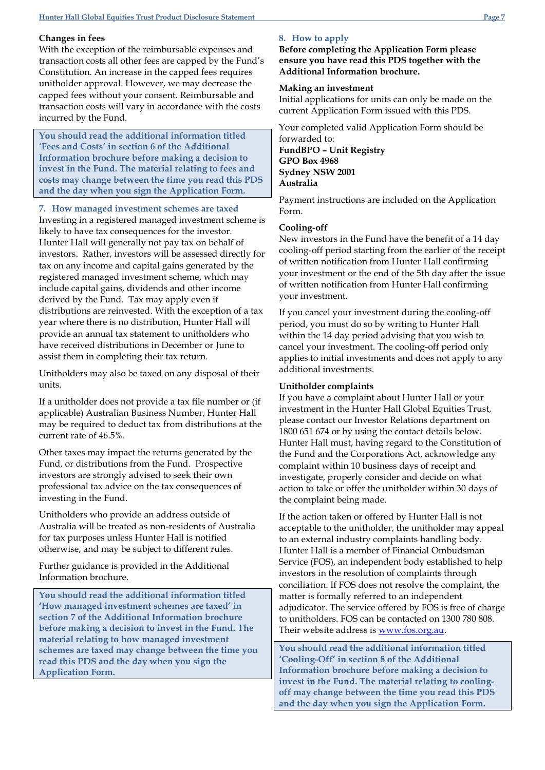#### **Changes in fees**

With the exception of the reimbursable expenses and transaction costs all other fees are capped by the Fund's Constitution. An increase in the capped fees requires unitholder approval. However, we may decrease the capped fees without your consent. Reimbursable and transaction costs will vary in accordance with the costs incurred by the Fund.

**You should read the additional information titled 'Fees and Costs' in section 6 of the Additional Information brochure before making a decision to invest in the Fund. The material relating to fees and costs may change between the time you read this PDS and the day when you sign the Application Form.**

### **7. How managed investment schemes are taxed**

Investing in a registered managed investment scheme is likely to have tax consequences for the investor. Hunter Hall will generally not pay tax on behalf of investors. Rather, investors will be assessed directly for tax on any income and capital gains generated by the registered managed investment scheme, which may include capital gains, dividends and other income derived by the Fund. Tax may apply even if distributions are reinvested. With the exception of a tax year where there is no distribution, Hunter Hall will provide an annual tax statement to unitholders who have received distributions in December or June to assist them in completing their tax return.

Unitholders may also be taxed on any disposal of their units.

If a unitholder does not provide a tax file number or (if applicable) Australian Business Number, Hunter Hall may be required to deduct tax from distributions at the current rate of 46.5%.

Other taxes may impact the returns generated by the Fund, or distributions from the Fund. Prospective investors are strongly advised to seek their own professional tax advice on the tax consequences of investing in the Fund.

Unitholders who provide an address outside of Australia will be treated as non-residents of Australia for tax purposes unless Hunter Hall is notified otherwise, and may be subject to different rules.

Further guidance is provided in the Additional Information brochure.

**You should read the additional information titled 'How managed investment schemes are taxed' in section 7 of the Additional Information brochure before making a decision to invest in the Fund. The material relating to how managed investment schemes are taxed may change between the time you read this PDS and the day when you sign the Application Form.**

#### **8. How to apply**

**Before completing the Application Form please ensure you have read this PDS together with the Additional Information brochure.**

#### **Making an investment**

Initial applications for units can only be made on the current Application Form issued with this PDS.

Your completed valid Application Form should be forwarded to: **FundBPO – Unit Registry**

**GPO Box 4968 Sydney NSW 2001 Australia**

Payment instructions are included on the Application Form.

#### **Cooling-off**

New investors in the Fund have the benefit of a 14 day cooling-off period starting from the earlier of the receipt of written notification from Hunter Hall confirming your investment or the end of the 5th day after the issue of written notification from Hunter Hall confirming your investment.

If you cancel your investment during the cooling-off period, you must do so by writing to Hunter Hall within the 14 day period advising that you wish to cancel your investment. The cooling-off period only applies to initial investments and does not apply to any additional investments.

#### **Unitholder complaints**

If you have a complaint about Hunter Hall or your investment in the Hunter Hall Global Equities Trust, please contact our Investor Relations department on 1800 651 674 or by using the contact details below. Hunter Hall must, having regard to the Constitution of the Fund and the Corporations Act, acknowledge any complaint within 10 business days of receipt and investigate, properly consider and decide on what action to take or offer the unitholder within 30 days of the complaint being made.

If the action taken or offered by Hunter Hall is not acceptable to the unitholder, the unitholder may appeal to an external industry complaints handling body. Hunter Hall is a member of Financial Ombudsman Service (FOS), an independent body established to help investors in the resolution of complaints through conciliation. If FOS does not resolve the complaint, the matter is formally referred to an independent adjudicator. The service offered by FOS is free of charge to unitholders. FOS can be contacted on 1300 780 808. Their website address is [www.fos.org.au.](http://www.fos.org.au/)

**You should read the additional information titled 'Cooling-Off' in section 8 of the Additional Information brochure before making a decision to invest in the Fund. The material relating to coolingoff may change between the time you read this PDS and the day when you sign the Application Form.**